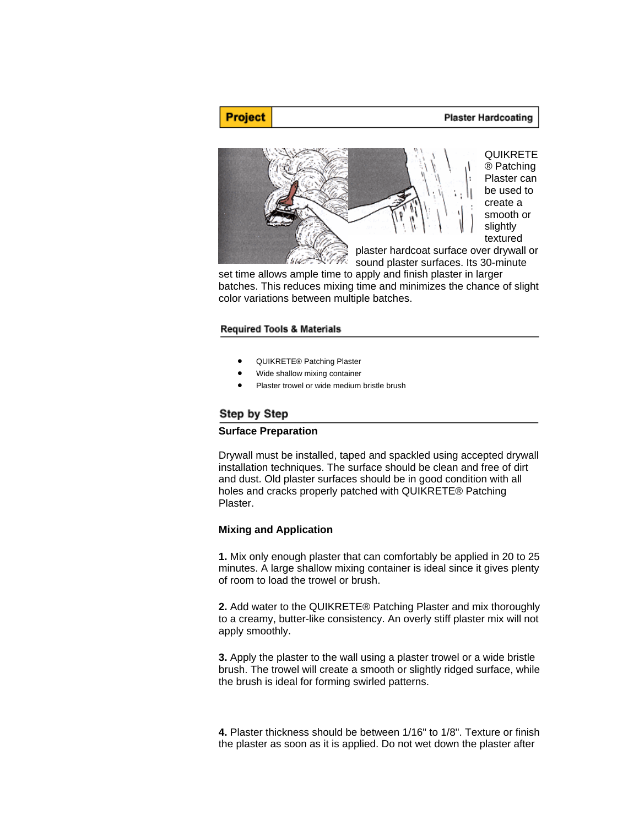# **Plaster Hardcoating**



set time allows ample time to apply and finish plaster in larger batches. This reduces mixing time and minimizes the chance of slight color variations between multiple batches.

# **Required Tools & Materials**

- QUIKRETE® Patching Plaster
- Wide shallow mixing container
- Plaster trowel or wide medium bristle brush

### Step by Step

**Project** 

#### **Surface Preparation**

Drywall must be installed, taped and spackled using accepted drywall installation techniques. The surface should be clean and free of dirt and dust. Old plaster surfaces should be in good condition with all holes and cracks properly patched with QUIKRETE® Patching Plaster.

# **Mixing and Application**

**1.** Mix only enough plaster that can comfortably be applied in 20 to 25 minutes. A large shallow mixing container is ideal since it gives plenty of room to load the trowel or brush.

**2.** Add water to the QUIKRETE® Patching Plaster and mix thoroughly to a creamy, butter-like consistency. An overly stiff plaster mix will not apply smoothly.

**3.** Apply the plaster to the wall using a plaster trowel or a wide bristle brush. The trowel will create a smooth or slightly ridged surface, while the brush is ideal for forming swirled patterns.

**4.** Plaster thickness should be between 1/16" to 1/8". Texture or finish the plaster as soon as it is applied. Do not wet down the plaster after